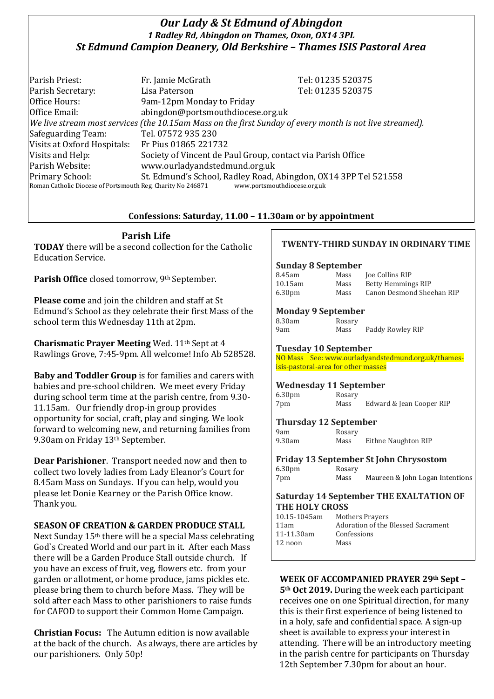# *Our Lady & St Edmund of Abingdon 1 Radley Rd, Abingdon on Thames, Oxon, OX14 3PL St Edmund Campion Deanery, Old Berkshire – Thames ISIS Pastoral Area*

Parish Priest: Fr. Jamie McGrath Tel: 01235 520375 Parish Secretary: Tel: 01235 520375 Office Hours: 9am-12pm Monday to Friday Office Email: abingdon@portsmouthdiocese.org.uk *We live stream most services (the 10.15am Mass on the first Sunday of every month is not live streamed).* Safeguarding Team: Tel. 07572 935 230 Visits at Oxford Hospitals: Fr Pius 01865 221732 Visits and Help: Society of Vincent de Paul Group, contact via Parish Office Parish Website: www.ourladyandstedmund.org.uk Primary School: St. Edmund's School, Radley Road, Abingdon, OX14 3PP Tel 521558 Roman Catholic Diocese of Portsmouth Reg. Charity No 246871 www.portsmouthdiocese.org.uk

## **Confessions: Saturday, 11.00 – 11.30am or by appointment**

**Parish Life TODAY** there will be a second collection for the Catholic Education Service.

Parish Office closed tomorrow, 9<sup>th</sup> September.

**Please come** and join the children and staff at St Edmund's School as they celebrate their first Mass of the school term this Wednesday 11th at 2pm.

**Charismatic Prayer Meeting** Wed. 11<sup>th</sup> Sept at 4 Rawlings Grove, 7:45-9pm. All welcome! Info Ab 528528.

**Baby and Toddler Group** is for families and carers with babies and pre-school children. We meet every Friday during school term time at the parish centre, from 9.30- 11.15am. Our friendly drop-in group provides opportunity for social, craft, play and singing. We look forward to welcoming new, and returning families from 9.30am on Friday 13<sup>th</sup> September.

**Dear Parishioner**. Transport needed now and then to collect two lovely ladies from Lady Eleanor's Court for 8.45am Mass on Sundays. If you can help, would you please let Donie Kearney or the Parish Office know. Thank you.

## **SEASON OF CREATION & GARDEN PRODUCE STALL**

Next Sunday 15th there will be a special Mass celebrating God`s Created World and our part in it. After each Mass there will be a Garden Produce Stall outside church. If you have an excess of fruit, veg, flowers etc. from your garden or allotment, or home produce, jams pickles etc. please bring them to church before Mass. They will be sold after each Mass to other parishioners to raise funds for CAFOD to support their Common Home Campaign.

**Christian Focus:** The Autumn edition is now available at the back of the church. As always, there are articles by our parishioners. Only 50p!

## **TWENTY-THIRD SUNDAY IN ORDINARY TIME**

#### **Sunday 8 September**

| 8.45am             | Mass | <b>Joe Collins RIP</b>    |
|--------------------|------|---------------------------|
| 10.15am            | Mass | Betty Hemmings RIP        |
| 6.30 <sub>pm</sub> | Mass | Canon Desmond Sheehan RIP |

#### **Monday 9 September**

| 3.30am |  |
|--------|--|
| Jam    |  |

Rosary Mass Paddy Rowley RIP

#### **Tuesday 10 September**

NO Mass See: www.ourladyandstedmund.org.uk/thamesisis-pastoral-area for other masses

#### **Wednesday 11 September**

6.30pm Rosary 7pm Mass Edward & Jean Cooper RIP

# **Thursday 12 September**

9am Rosary<br>9.30am Mass Mass Eithne Naughton RIP

|                    |        | <b>Friday 13 September St John Chrysostom</b> |
|--------------------|--------|-----------------------------------------------|
| 6.30 <sub>pm</sub> | Rosary |                                               |
| 7pm                | Mass   | Maureen & John Logan Intentions               |

#### **Saturday 14 September THE EXALTATION OF THE HOLY CROSS**

| 10.15-1045am | Mothers Prayers                    |
|--------------|------------------------------------|
| 11am         | Adoration of the Blessed Sacrament |
| 11-11.30am   | Confessions                        |
| 12 noon      | Mass                               |
|              |                                    |

#### **WEEK OF ACCOMPANIED PRAYER 29th Sept –**

**5th Oct 2019.** During the week each participant receives one on one Spiritual direction, for many this is their first experience of being listened to in a holy, safe and confidential space. A sign-up sheet is available to express your interest in attending. There will be an introductory meeting in the parish centre for participants on Thursday 12th September 7.30pm for about an hour.